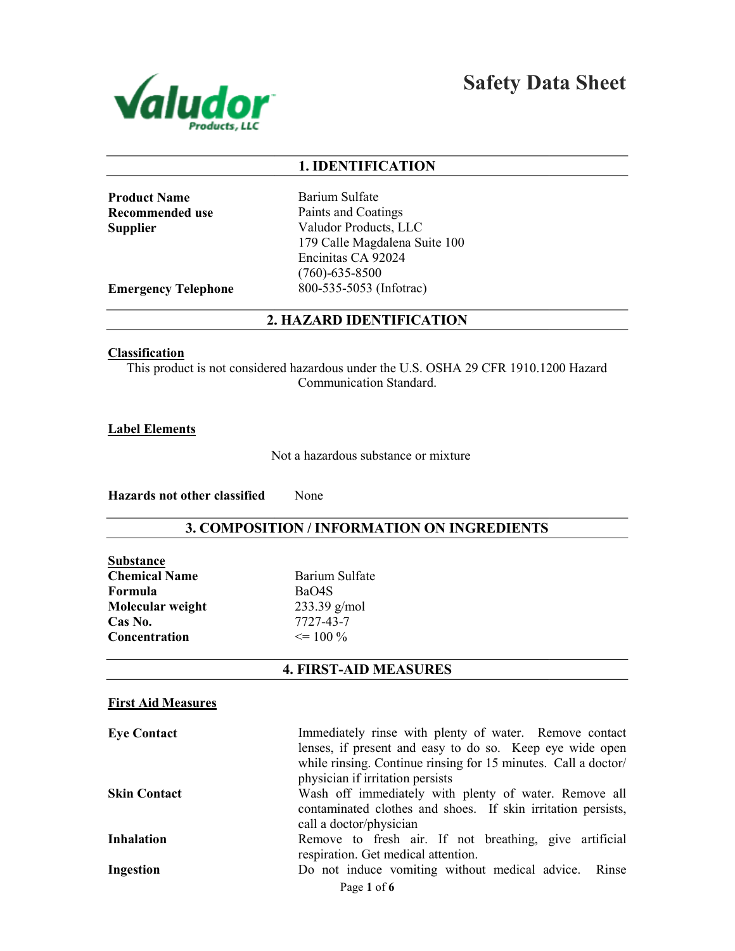

Safety Data Sheet

## 1. IDENTIFICATION

Product Name Recommended use Supplier

Barium Sulfate Paints and Coatings Valudor Products, LLC 179 Calle Magdalena Suite 100 Encinitas CA 92024 (760)-635-8500 800-535-5053 (Infotrac)

Emergency Telephone

#### 2. HAZARD IDENTIFICATION

### **Classification**

This product is not considered hazardous under the U.S. OSHA 29 CFR 1910.1200 Hazard<br>Communication Standard.

Label Elements

Not a hazardous substance or mixture

Hazards not other classified None

## 3. COMPOSITION / INFORMATION ON INGREDIENTS

| <b>Substance</b>     |
|----------------------|
| <b>Chemical Name</b> |
| Formula              |
| Molecular weight     |
| Cas No.              |
| Concentration        |

Barium Sulfate BaO4S 233.39 g/mol 7727-43-7  $\leq$  100 %

## 4. FIRST-AID MEASURES

### First Aid Measures

| <b>Eye Contact</b>  | Immediately rinse with plenty of water. Remove contact         |
|---------------------|----------------------------------------------------------------|
|                     | lenses, if present and easy to do so. Keep eye wide open       |
|                     | while rinsing. Continue rinsing for 15 minutes. Call a doctor/ |
|                     | physician if irritation persists                               |
| <b>Skin Contact</b> | Wash off immediately with plenty of water. Remove all          |
|                     | contaminated clothes and shoes. If skin irritation persists,   |
|                     | call a doctor/physician                                        |
| <b>Inhalation</b>   | Remove to fresh air. If not breathing, give artificial         |
|                     | respiration. Get medical attention.                            |
| Ingestion           | Do not induce vomiting without medical advice. Rinse           |
|                     | Page 1 of 6                                                    |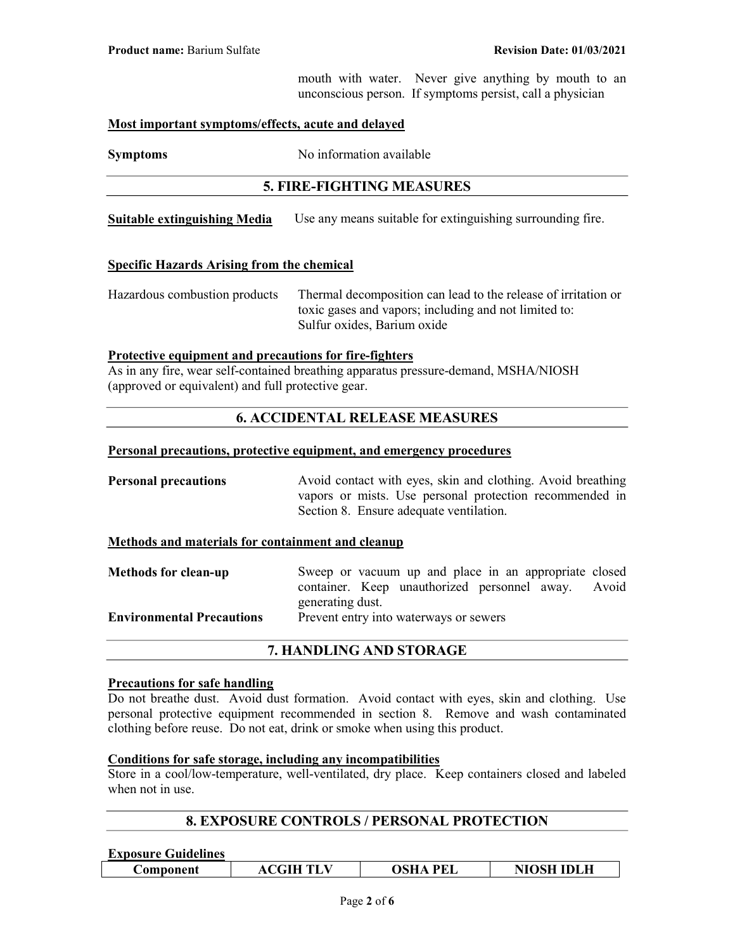mouth with water. Never give anything by mouth to an unconscious person. If symptoms persist, call a physician

#### Most important symptoms/effects, acute and delayed

Symptoms No information available

## 5. FIRE-FIGHTING MEASURES

**Suitable extinguishing Media** Use any means suitable for extinguishing surrounding fire.

#### Specific Hazards Arising from the chemical

Hazardous combustion products Thermal decomposition can lead to the release of irritation or toxic gases and vapors; including and not limited to: Sulfur oxides, Barium oxide

#### Protective equipment and precautions for fire-fighters

As in any fire, wear self-contained breathing apparatus pressure-demand, MSHA/NIOSH (approved or equivalent) and full protective gear.

## 6. ACCIDENTAL RELEASE MEASURES

#### Personal precautions, protective equipment, and emergency procedures

**Personal precautions** Avoid contact with eyes, skin and clothing. Avoid breathing vapors or mists. Use personal protection recommended in Section 8. Ensure adequate ventilation.

#### Methods and materials for containment and cleanup

| <b>Methods for clean-up</b>      | Sweep or vacuum up and place in an appropriate closed |  |  |  |
|----------------------------------|-------------------------------------------------------|--|--|--|
|                                  | container. Keep unauthorized personnel away. Avoid    |  |  |  |
|                                  | generating dust.                                      |  |  |  |
| <b>Environmental Precautions</b> | Prevent entry into waterways or sewers                |  |  |  |
|                                  |                                                       |  |  |  |

#### 7. HANDLING AND STORAGE

#### Precautions for safe handling

Do not breathe dust. Avoid dust formation. Avoid contact with eyes, skin and clothing. Use personal protective equipment recommended in section 8. Remove and wash contaminated clothing before reuse. Do not eat, drink or smoke when using this product.

#### Conditions for safe storage, including any incompatibilities

Store in a cool/low-temperature, well-ventilated, dry place. Keep containers closed and labeled when not in use.

## 8. EXPOSURE CONTROLS / PERSONAL PROTECTION

#### Exposure Guidelines

| <b>NIOSH IDLH</b><br>OSHA PEL<br><b>ACGIH TLV</b><br><b>Component</b> |
|-----------------------------------------------------------------------|
|-----------------------------------------------------------------------|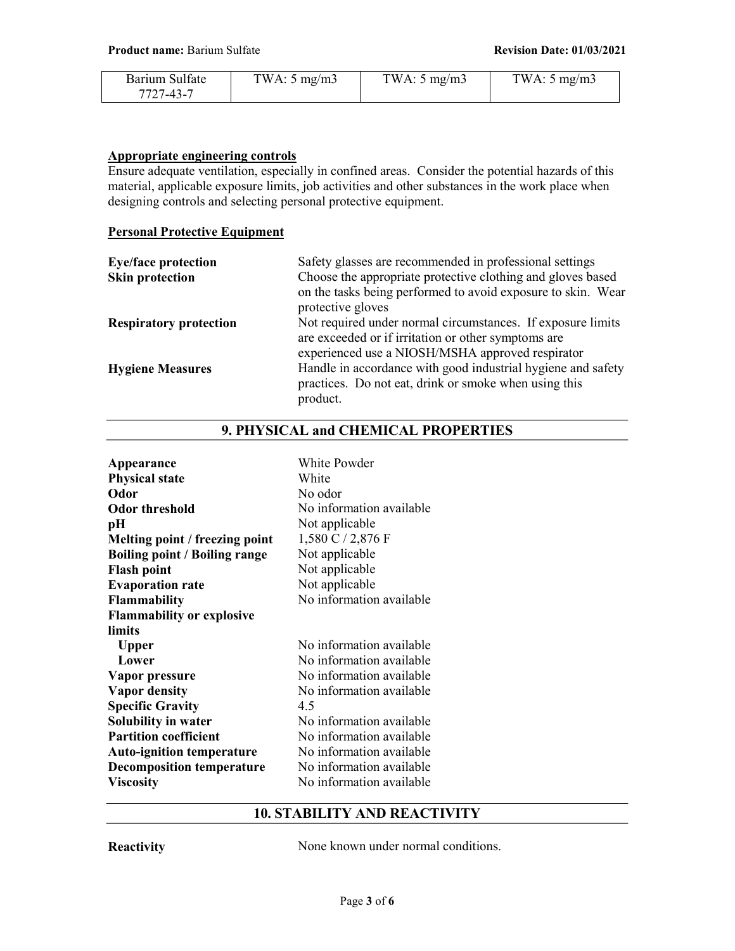| Barium Sulfate | TWA: $5 \text{ mg/m}$ | TWA: $5 \text{ mg/m}$ 3 | TWA: $5 \text{ mg/m}$ |
|----------------|-----------------------|-------------------------|-----------------------|
| 7727-43-7      |                       |                         |                       |

#### Appropriate engineering controls

Ensure adequate ventilation, especially in confined areas. Consider the potential hazards of this material, applicable exposure limits, job activities and other substances in the work place when designing controls and selecting personal protective equipment.

#### Personal Protective Equipment

| <b>Eye/face protection</b>    | Safety glasses are recommended in professional settings                                                               |  |  |
|-------------------------------|-----------------------------------------------------------------------------------------------------------------------|--|--|
| <b>Skin protection</b>        | Choose the appropriate protective clothing and gloves based                                                           |  |  |
|                               | on the tasks being performed to avoid exposure to skin. Wear<br>protective gloves                                     |  |  |
| <b>Respiratory protection</b> | Not required under normal circumstances. If exposure limits                                                           |  |  |
|                               | are exceeded or if irritation or other symptoms are                                                                   |  |  |
|                               | experienced use a NIOSH/MSHA approved respirator                                                                      |  |  |
| <b>Hygiene Measures</b>       | Handle in accordance with good industrial hygiene and safety<br>practices. Do not eat, drink or smoke when using this |  |  |
|                               | product.                                                                                                              |  |  |

## 9. PHYSICAL and CHEMICAL PROPERTIES

| Appearance<br><b>Physical state</b><br>Odor<br><b>Odor threshold</b><br>pН<br>Melting point / freezing point<br><b>Boiling point / Boiling range</b><br><b>Flash point</b><br><b>Evaporation rate</b><br><b>Flammability</b><br><b>Flammability or explosive</b> | White Powder<br>White<br>No odor<br>No information available<br>Not applicable<br>$1,580$ C $/$ 2,876 F<br>Not applicable<br>Not applicable<br>Not applicable<br>No information available                                                                       |
|------------------------------------------------------------------------------------------------------------------------------------------------------------------------------------------------------------------------------------------------------------------|-----------------------------------------------------------------------------------------------------------------------------------------------------------------------------------------------------------------------------------------------------------------|
| limits<br><b>Upper</b><br>Lower<br>Vapor pressure<br><b>Vapor density</b><br><b>Specific Gravity</b><br>Solubility in water<br><b>Partition coefficient</b><br><b>Auto-ignition temperature</b><br><b>Decomposition temperature</b><br><b>Viscosity</b>          | No information available<br>No information available<br>No information available<br>No information available<br>4.5<br>No information available<br>No information available<br>No information available<br>No information available<br>No information available |

## 10. STABILITY AND REACTIVITY

Reactivity None known under normal conditions.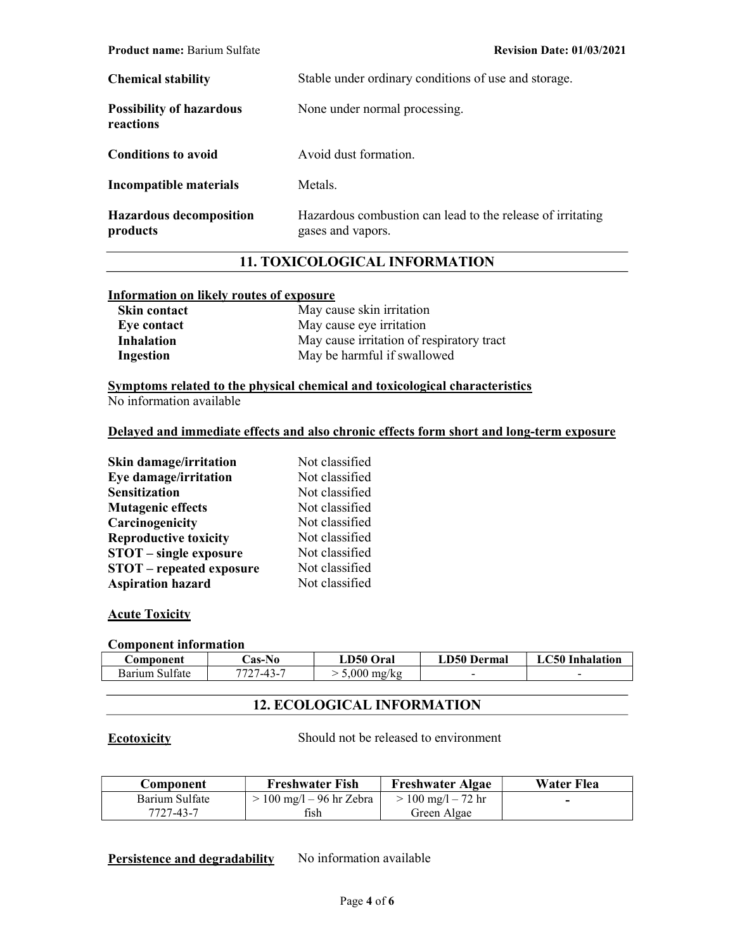| <b>Chemical stability</b>                    | Stable under ordinary conditions of use and storage.                            |  |  |
|----------------------------------------------|---------------------------------------------------------------------------------|--|--|
| <b>Possibility of hazardous</b><br>reactions | None under normal processing.                                                   |  |  |
| <b>Conditions to avoid</b>                   | Avoid dust formation.                                                           |  |  |
| Incompatible materials                       | Metals.                                                                         |  |  |
| <b>Hazardous decomposition</b><br>products   | Hazardous combustion can lead to the release of irritating<br>gases and vapors. |  |  |

# 11. TOXICOLOGICAL INFORMATION

#### Information on likely routes of exposure

| <b>Skin contact</b> | May cause skin irritation                 |
|---------------------|-------------------------------------------|
| Eye contact         | May cause eye irritation                  |
| <b>Inhalation</b>   | May cause irritation of respiratory tract |
| Ingestion           | May be harmful if swallowed               |

Symptoms related to the physical chemical and toxicological characteristics No information available

#### Delayed and immediate effects and also chronic effects form short and long-term exposure

| Skin damage/irritation          | Not classified |
|---------------------------------|----------------|
| Eye damage/irritation           | Not classified |
| <b>Sensitization</b>            | Not classified |
| <b>Mutagenic effects</b>        | Not classified |
| Carcinogenicity                 | Not classified |
| <b>Reproductive toxicity</b>    | Not classified |
| <b>STOT</b> – single exposure   | Not classified |
| <b>STOT</b> – repeated exposure | Not classified |
| <b>Aspiration hazard</b>        | Not classified |

## **Acute Toxicity**

#### Component information

| Component      | <b>Cas-No</b> | LD50 Oral             | LD50 Dermal              | <b>LC50 Inhalation</b>   |
|----------------|---------------|-----------------------|--------------------------|--------------------------|
| Barium Sulfate | 7727-43-7     | $5,000 \text{ mg/kg}$ | $\overline{\phantom{a}}$ | $\overline{\phantom{a}}$ |

## 12. ECOLOGICAL INFORMATION

Ecotoxicity Should not be released to environment

| <b>Component</b> | <b>Freshwater Fish</b>                     | <b>Freshwater Algae</b> | Water Flea |
|------------------|--------------------------------------------|-------------------------|------------|
| Barium Sulfate   | $> 100 \text{ mg/l} - 96 \text{ hr}$ Zebra | $> 100$ mg/l – 72 hr    |            |
| 7727-43-7        | fish                                       | Green Algae             |            |

## Persistence and degradability No information available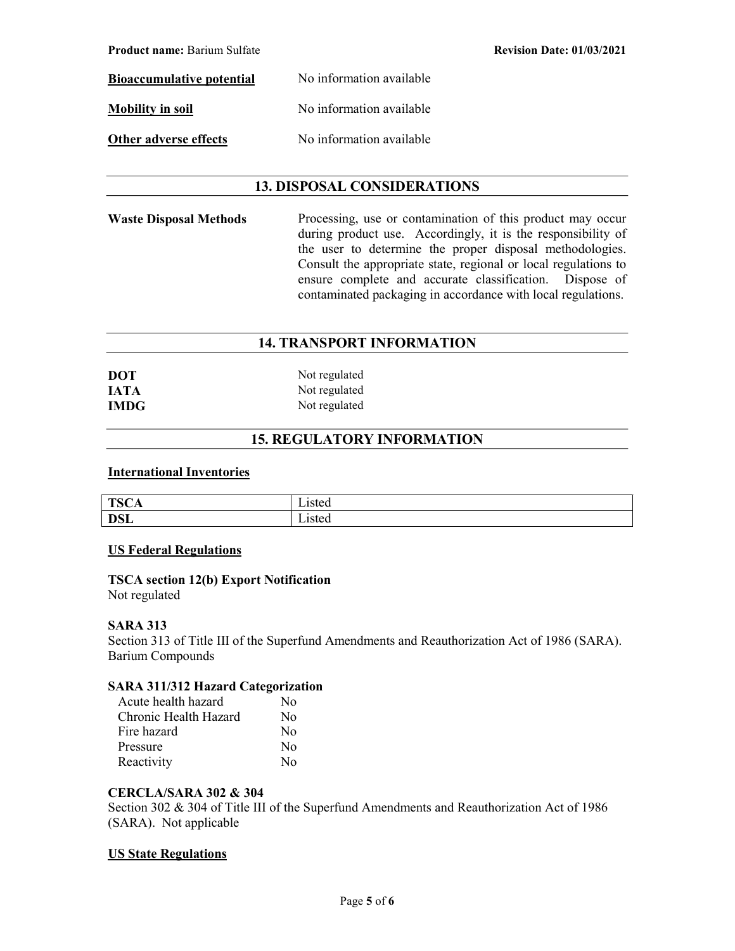Product name: Barium Sulfate Revision Date: 01/03/2021

Bioaccumulative potential No information available Mobility in soil No information available Other adverse effects No information available

## 13. DISPOSAL CONSIDERATIONS

Waste Disposal Methods Processing, use or contamination of this product may occur during product use. Accordingly, it is the responsibility of the user to determine the proper disposal methodologies. Consult the appropriate state, regional or local regulations to ensure complete and accurate classification. Dispose of contaminated packaging in accordance with local regulations.

## 14. TRANSPORT INFORMATION

| DOT         | Not regulated |
|-------------|---------------|
| <b>IATA</b> | Not regulated |
| <b>IMDG</b> | Not regulated |

## 15. REGULATORY INFORMATION

#### International Inventories

| <b>TSC</b><br>д.<br>ᆂ<br>ື້ | - -<br>sivu |
|-----------------------------|-------------|
| <b>DSL</b>                  | --<br>-15 w |

#### US Federal Regulations

# TSCA section 12(b) Export Notification

Not regulated

#### SARA 313

Section 313 of Title III of the Superfund Amendments and Reauthorization Act of 1986 (SARA). Barium Compounds

### SARA 311/312 Hazard Categorization

| Acute health hazard   | N٥                      |
|-----------------------|-------------------------|
| Chronic Health Hazard | $\rm No$                |
| Fire hazard           | $\overline{N}_{\Omega}$ |
| Pressure              | No                      |
| Reactivity            | $\rm N_{\Omega}$        |

## CERCLA/SARA 302 & 304

Section 302 & 304 of Title III of the Superfund Amendments and Reauthorization Act of 1986 (SARA). Not applicable

## US State Regulations